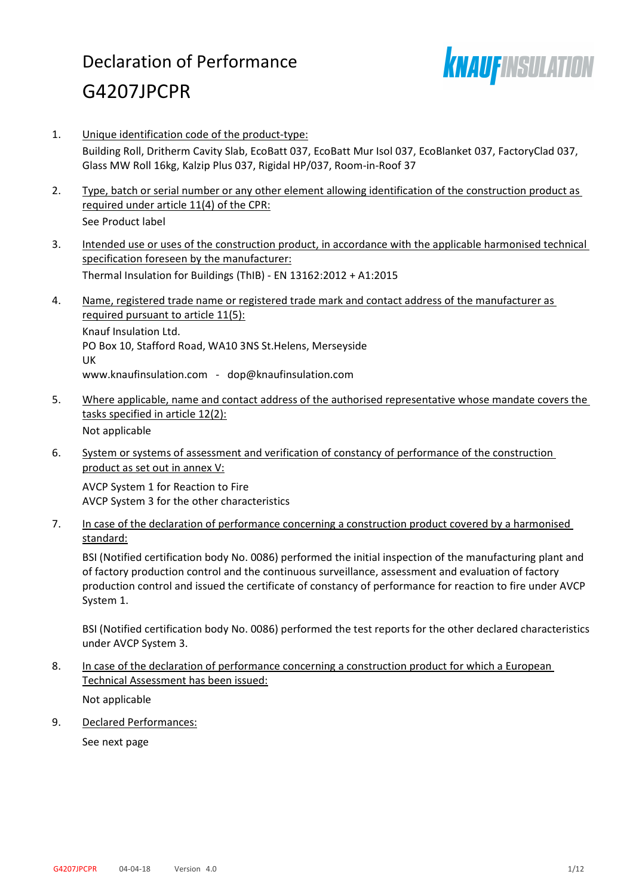# Declaration of Performance G4207JPCPR



- 1. Unique identification code of the product-type: Building Roll, Dritherm Cavity Slab, EcoBatt 037, EcoBatt Mur Isol 037, EcoBlanket 037, FactoryClad 037, Glass MW Roll 16kg, Kalzip Plus 037, Rigidal HP/037, Room-in-Roof 37
- 2. Type, batch or serial number or any other element allowing identification of the construction product as required under article 11(4) of the CPR: See Product label
- 3. Intended use or uses of the construction product, in accordance with the applicable harmonised technical specification foreseen by the manufacturer: Thermal Insulation for Buildings (ThIB) - EN 13162:2012 + A1:2015
- 4. Name, registered trade name or registered trade mark and contact address of the manufacturer as required pursuant to article 11(5): Knauf Insulation Ltd. PO Box 10, Stafford Road, WA10 3NS St.Helens, Merseyside UK www.knaufinsulation.com - dop@knaufinsulation.com
- 5. Where applicable, name and contact address of the authorised representative whose mandate covers the tasks specified in article 12(2): Not applicable
- 6. System or systems of assessment and verification of constancy of performance of the construction product as set out in annex V:

AVCP System 1 for Reaction to Fire AVCP System 3 for the other characteristics

7. In case of the declaration of performance concerning a construction product covered by a harmonised standard:

BSI (Notified certification body No. 0086) performed the initial inspection of the manufacturing plant and of factory production control and the continuous surveillance, assessment and evaluation of factory production control and issued the certificate of constancy of performance for reaction to fire under AVCP System 1.

BSI (Notified certification body No. 0086) performed the test reports for the other declared characteristics under AVCP System 3.

8. In case of the declaration of performance concerning a construction product for which a European Technical Assessment has been issued:

Not applicable

9. Declared Performances:

See next page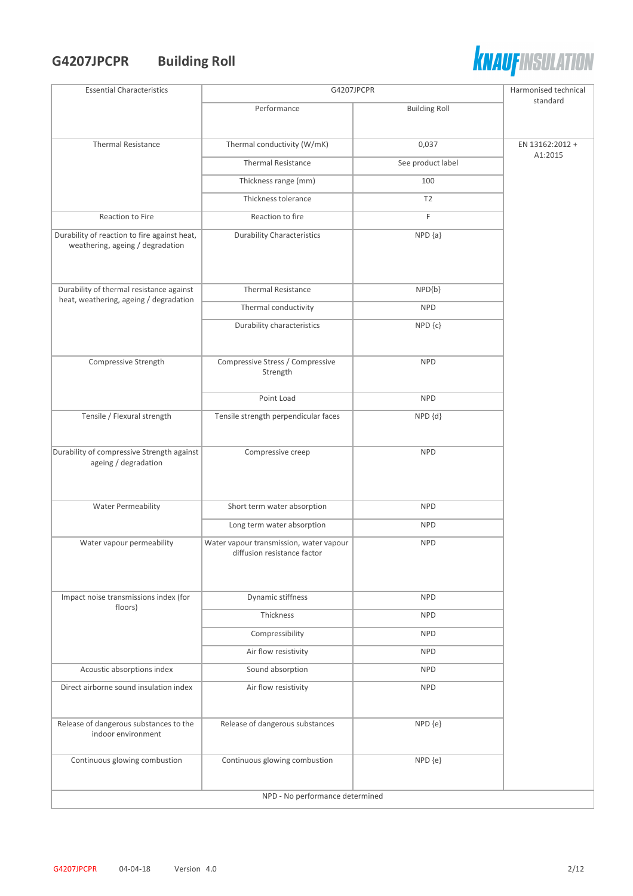## **G4207JPCPR Building Roll**



| <b>Essential Characteristics</b>                                                 | G4207JPCPR                                   |                      | Harmonised technical       |
|----------------------------------------------------------------------------------|----------------------------------------------|----------------------|----------------------------|
|                                                                                  | Performance                                  | <b>Building Roll</b> | standard                   |
|                                                                                  |                                              |                      |                            |
| <b>Thermal Resistance</b>                                                        | Thermal conductivity (W/mK)                  | 0,037                | EN 13162:2012 +<br>A1:2015 |
|                                                                                  | <b>Thermal Resistance</b>                    | See product label    |                            |
|                                                                                  | Thickness range (mm)                         | 100                  |                            |
|                                                                                  | Thickness tolerance                          | T <sub>2</sub>       |                            |
| Reaction to Fire                                                                 | Reaction to fire                             | F                    |                            |
| Durability of reaction to fire against heat,<br>weathering, ageing / degradation | <b>Durability Characteristics</b>            | $NPD {a}$            |                            |
| Durability of thermal resistance against                                         | <b>Thermal Resistance</b>                    | NPD{b}               |                            |
| heat, weathering, ageing / degradation                                           | Thermal conductivity                         | <b>NPD</b>           |                            |
|                                                                                  | Durability characteristics                   | $NPD$ $\{c\}$        |                            |
|                                                                                  |                                              |                      |                            |
| Compressive Strength                                                             | Compressive Stress / Compressive<br>Strength | <b>NPD</b>           |                            |
|                                                                                  | Point Load                                   | <b>NPD</b>           |                            |
| Tensile / Flexural strength                                                      | Tensile strength perpendicular faces         | NPD {d}              |                            |
| Durability of compressive Strength against                                       | Compressive creep                            | <b>NPD</b>           |                            |
| ageing / degradation                                                             |                                              |                      |                            |
|                                                                                  |                                              |                      |                            |
| <b>Water Permeability</b>                                                        | Short term water absorption                  | <b>NPD</b>           |                            |
|                                                                                  | Long term water absorption                   | <b>NPD</b>           |                            |
| Water vapour permeability                                                        | Water vapour transmission, water vapour      | <b>NPD</b>           |                            |
|                                                                                  | diffusion resistance factor                  |                      |                            |
|                                                                                  |                                              |                      |                            |
| Impact noise transmissions index (for                                            | Dynamic stiffness                            | <b>NPD</b>           |                            |
| floors)                                                                          | Thickness                                    | <b>NPD</b>           |                            |
|                                                                                  | Compressibility                              | <b>NPD</b>           |                            |
|                                                                                  | Air flow resistivity                         | <b>NPD</b>           |                            |
| Acoustic absorptions index                                                       | Sound absorption                             | <b>NPD</b>           |                            |
| Direct airborne sound insulation index                                           | Air flow resistivity                         | <b>NPD</b>           |                            |
|                                                                                  |                                              |                      |                            |
| Release of dangerous substances to the                                           | Release of dangerous substances              | NPD {e}              |                            |
| indoor environment                                                               |                                              |                      |                            |
| Continuous glowing combustion                                                    | Continuous glowing combustion                | NPD {e}              |                            |
|                                                                                  |                                              |                      |                            |
| NPD - No performance determined                                                  |                                              |                      |                            |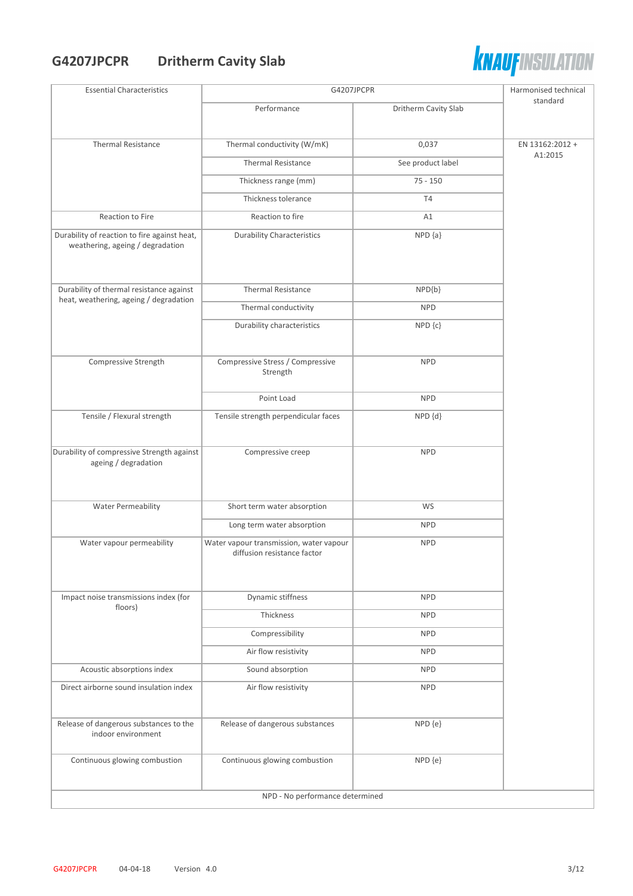## **G4207JPCPR Dritherm Cavity Slab**



| <b>Essential Characteristics</b>                                                 | G4207JPCPR                                   |                      | Harmonised technical |
|----------------------------------------------------------------------------------|----------------------------------------------|----------------------|----------------------|
|                                                                                  | Performance                                  | Dritherm Cavity Slab | standard             |
|                                                                                  |                                              |                      |                      |
| <b>Thermal Resistance</b>                                                        | Thermal conductivity (W/mK)                  | 0,037                | EN 13162:2012 +      |
|                                                                                  | <b>Thermal Resistance</b>                    | See product label    | A1:2015              |
|                                                                                  | Thickness range (mm)                         | $75 - 150$           |                      |
|                                                                                  | Thickness tolerance                          | T4                   |                      |
| Reaction to Fire                                                                 | Reaction to fire                             | A1                   |                      |
| Durability of reaction to fire against heat,<br>weathering, ageing / degradation | <b>Durability Characteristics</b>            | $NPD {a}$            |                      |
| Durability of thermal resistance against                                         | <b>Thermal Resistance</b>                    | NPD{b}               |                      |
| heat, weathering, ageing / degradation                                           | Thermal conductivity                         | <b>NPD</b>           |                      |
|                                                                                  | Durability characteristics                   | $NPD$ $\{c\}$        |                      |
|                                                                                  |                                              |                      |                      |
| Compressive Strength                                                             | Compressive Stress / Compressive<br>Strength | <b>NPD</b>           |                      |
|                                                                                  | Point Load                                   | <b>NPD</b>           |                      |
| Tensile / Flexural strength                                                      | Tensile strength perpendicular faces         | NPD {d}              |                      |
| Durability of compressive Strength against                                       | Compressive creep                            | <b>NPD</b>           |                      |
| ageing / degradation                                                             |                                              |                      |                      |
|                                                                                  |                                              |                      |                      |
| Water Permeability                                                               | Short term water absorption                  | WS                   |                      |
|                                                                                  | Long term water absorption                   | <b>NPD</b>           |                      |
| Water vapour permeability                                                        | Water vapour transmission, water vapour      | <b>NPD</b>           |                      |
|                                                                                  | diffusion resistance factor                  |                      |                      |
|                                                                                  |                                              |                      |                      |
| Impact noise transmissions index (for                                            | Dynamic stiffness                            | <b>NPD</b>           |                      |
| floors)                                                                          | Thickness                                    | <b>NPD</b>           |                      |
|                                                                                  | Compressibility                              | <b>NPD</b>           |                      |
|                                                                                  | Air flow resistivity                         | <b>NPD</b>           |                      |
| Acoustic absorptions index                                                       | Sound absorption                             | <b>NPD</b>           |                      |
| Direct airborne sound insulation index                                           | Air flow resistivity                         | <b>NPD</b>           |                      |
|                                                                                  |                                              |                      |                      |
| Release of dangerous substances to the<br>indoor environment                     | Release of dangerous substances              | NPD {e}              |                      |
| Continuous glowing combustion                                                    | Continuous glowing combustion                | NPD {e}              |                      |
|                                                                                  | NPD - No performance determined              |                      |                      |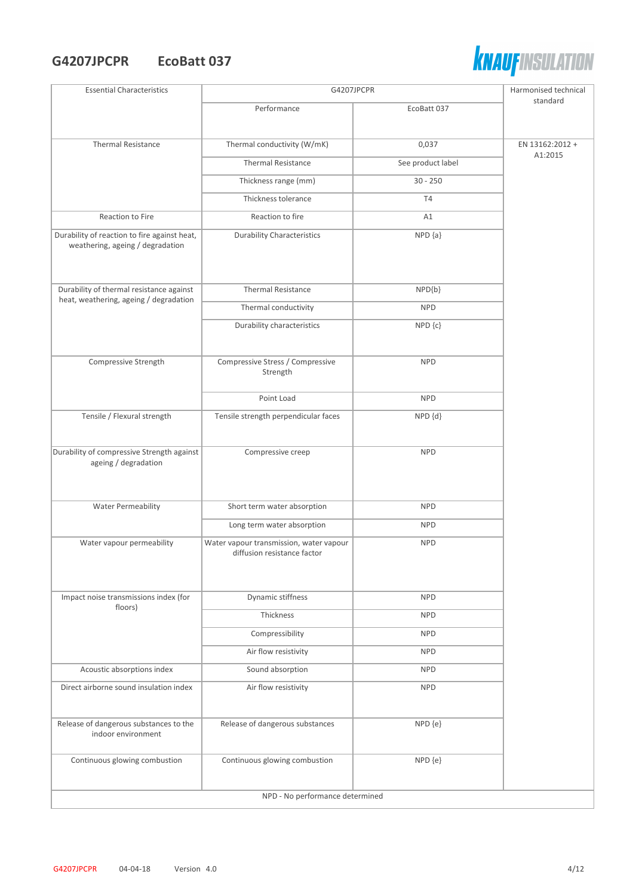#### **G4207JPCPR EcoBatt 037**



| <b>Essential Characteristics</b>                                                 | G4207JPCPR                                                             |                   | Harmonised technical |  |  |
|----------------------------------------------------------------------------------|------------------------------------------------------------------------|-------------------|----------------------|--|--|
|                                                                                  | Performance                                                            | EcoBatt 037       | standard             |  |  |
|                                                                                  |                                                                        |                   |                      |  |  |
| <b>Thermal Resistance</b>                                                        | Thermal conductivity (W/mK)                                            | 0,037             | EN 13162:2012 +      |  |  |
|                                                                                  | <b>Thermal Resistance</b>                                              | See product label | A1:2015              |  |  |
|                                                                                  | Thickness range (mm)                                                   | $30 - 250$        |                      |  |  |
|                                                                                  | Thickness tolerance                                                    | T <sub>4</sub>    |                      |  |  |
| Reaction to Fire                                                                 | Reaction to fire                                                       | A1                |                      |  |  |
| Durability of reaction to fire against heat,<br>weathering, ageing / degradation | <b>Durability Characteristics</b>                                      | $NPD {a}$         |                      |  |  |
| Durability of thermal resistance against                                         | <b>Thermal Resistance</b>                                              | $NPD{b}$          |                      |  |  |
| heat, weathering, ageing / degradation                                           | Thermal conductivity                                                   | <b>NPD</b>        |                      |  |  |
|                                                                                  | Durability characteristics                                             | $NPD$ $\{c\}$     |                      |  |  |
|                                                                                  |                                                                        |                   |                      |  |  |
| Compressive Strength                                                             | Compressive Stress / Compressive<br>Strength                           | <b>NPD</b>        |                      |  |  |
|                                                                                  | Point Load                                                             | <b>NPD</b>        |                      |  |  |
| Tensile / Flexural strength                                                      | Tensile strength perpendicular faces                                   | NPD {d}           |                      |  |  |
| Durability of compressive Strength against<br>ageing / degradation               | Compressive creep                                                      | <b>NPD</b>        |                      |  |  |
| <b>Water Permeability</b>                                                        | Short term water absorption                                            | <b>NPD</b>        |                      |  |  |
|                                                                                  | Long term water absorption                                             | <b>NPD</b>        |                      |  |  |
| Water vapour permeability                                                        | Water vapour transmission, water vapour<br>diffusion resistance factor | <b>NPD</b>        |                      |  |  |
| Impact noise transmissions index (for                                            | Dynamic stiffness                                                      | <b>NPD</b>        |                      |  |  |
| floors)                                                                          | Thickness                                                              | <b>NPD</b>        |                      |  |  |
|                                                                                  | Compressibility                                                        | <b>NPD</b>        |                      |  |  |
|                                                                                  | Air flow resistivity                                                   | <b>NPD</b>        |                      |  |  |
| Acoustic absorptions index                                                       | Sound absorption                                                       | <b>NPD</b>        |                      |  |  |
| Direct airborne sound insulation index                                           | Air flow resistivity                                                   | <b>NPD</b>        |                      |  |  |
|                                                                                  |                                                                        |                   |                      |  |  |
| Release of dangerous substances to the<br>indoor environment                     | Release of dangerous substances                                        | NPD {e}           |                      |  |  |
| Continuous glowing combustion                                                    | Continuous glowing combustion                                          | NPD {e}           |                      |  |  |
|                                                                                  | NPD - No performance determined                                        |                   |                      |  |  |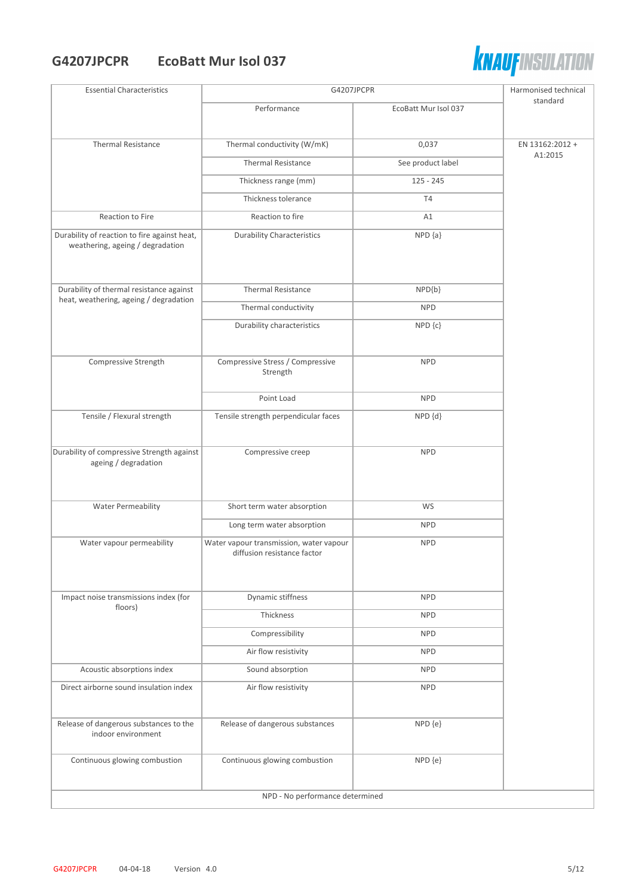#### **G4207JPCPR EcoBatt Mur Isol 037**



| <b>Essential Characteristics</b>                                                 | G4207JPCPR                                                             |                      | Harmonised technical |
|----------------------------------------------------------------------------------|------------------------------------------------------------------------|----------------------|----------------------|
|                                                                                  | Performance                                                            | EcoBatt Mur Isol 037 | standard             |
| <b>Thermal Resistance</b>                                                        | Thermal conductivity (W/mK)                                            | 0,037                | EN 13162:2012 +      |
|                                                                                  | <b>Thermal Resistance</b>                                              | See product label    | A1:2015              |
|                                                                                  | Thickness range (mm)                                                   | $125 - 245$          |                      |
|                                                                                  | Thickness tolerance                                                    | T <sub>4</sub>       |                      |
| Reaction to Fire                                                                 | Reaction to fire                                                       | A1                   |                      |
| Durability of reaction to fire against heat,<br>weathering, ageing / degradation | <b>Durability Characteristics</b>                                      | $NPD {a}$            |                      |
| Durability of thermal resistance against                                         | <b>Thermal Resistance</b>                                              | NPD{b}               |                      |
| heat, weathering, ageing / degradation                                           | Thermal conductivity                                                   | <b>NPD</b>           |                      |
|                                                                                  | Durability characteristics                                             | NPD {c}              |                      |
| Compressive Strength                                                             | Compressive Stress / Compressive<br>Strength                           | <b>NPD</b>           |                      |
|                                                                                  | Point Load                                                             | <b>NPD</b>           |                      |
| Tensile / Flexural strength                                                      | Tensile strength perpendicular faces                                   | NPD {d}              |                      |
| Durability of compressive Strength against<br>ageing / degradation               | Compressive creep                                                      | <b>NPD</b>           |                      |
| <b>Water Permeability</b>                                                        | Short term water absorption                                            | WS                   |                      |
|                                                                                  | Long term water absorption                                             | <b>NPD</b>           |                      |
| Water vapour permeability                                                        | Water vapour transmission, water vapour<br>diffusion resistance factor | <b>NPD</b>           |                      |
| Impact noise transmissions index (for<br>floors)                                 | Dynamic stiffness                                                      | <b>NPD</b>           |                      |
|                                                                                  | Thickness                                                              | <b>NPD</b>           |                      |
|                                                                                  | Compressibility                                                        | <b>NPD</b>           |                      |
|                                                                                  | Air flow resistivity                                                   | <b>NPD</b>           |                      |
| Acoustic absorptions index                                                       | Sound absorption                                                       | <b>NPD</b>           |                      |
| Direct airborne sound insulation index                                           | Air flow resistivity                                                   | <b>NPD</b>           |                      |
| Release of dangerous substances to the<br>indoor environment                     | Release of dangerous substances                                        | NPD {e}              |                      |
| Continuous glowing combustion                                                    | Continuous glowing combustion                                          | NPD {e}              |                      |
|                                                                                  | NPD - No performance determined                                        |                      |                      |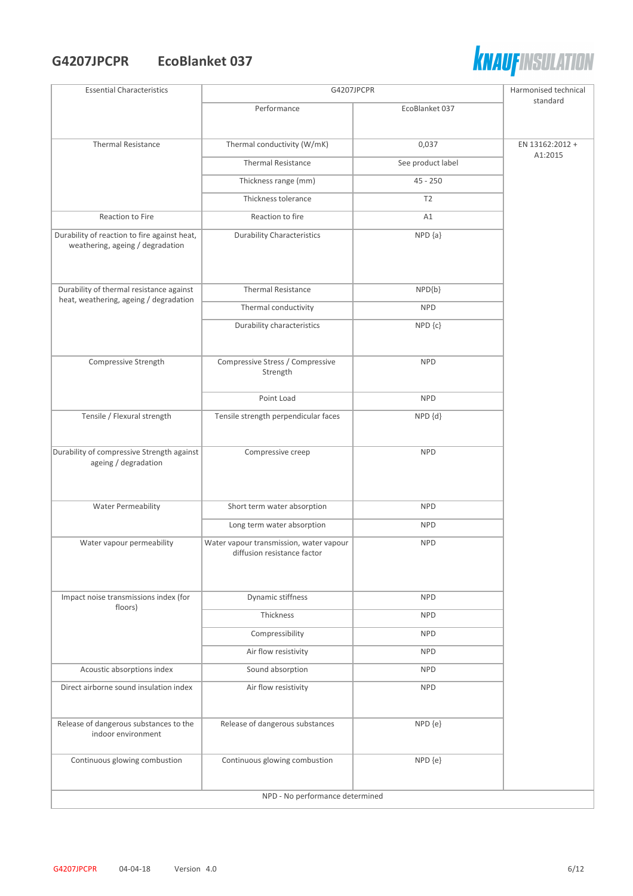### **G4207JPCPR EcoBlanket 037**



| <b>Essential Characteristics</b>                                                 | G4207JPCPR                                                             |                   | Harmonised technical       |  |
|----------------------------------------------------------------------------------|------------------------------------------------------------------------|-------------------|----------------------------|--|
|                                                                                  | Performance                                                            | EcoBlanket 037    | standard                   |  |
|                                                                                  |                                                                        |                   |                            |  |
| <b>Thermal Resistance</b>                                                        | Thermal conductivity (W/mK)                                            | 0,037             | EN 13162:2012 +<br>A1:2015 |  |
|                                                                                  | <b>Thermal Resistance</b>                                              | See product label |                            |  |
|                                                                                  | Thickness range (mm)                                                   | $45 - 250$        |                            |  |
|                                                                                  | Thickness tolerance                                                    | T2                |                            |  |
| Reaction to Fire                                                                 | Reaction to fire                                                       | A1                |                            |  |
| Durability of reaction to fire against heat,<br>weathering, ageing / degradation | <b>Durability Characteristics</b>                                      | $NPD {a}$         |                            |  |
| Durability of thermal resistance against                                         | <b>Thermal Resistance</b>                                              | NPD{b}            |                            |  |
| heat, weathering, ageing / degradation                                           | Thermal conductivity                                                   | <b>NPD</b>        |                            |  |
|                                                                                  | Durability characteristics                                             | NPD {c}           |                            |  |
|                                                                                  |                                                                        |                   |                            |  |
| Compressive Strength                                                             | Compressive Stress / Compressive<br>Strength                           | <b>NPD</b>        |                            |  |
|                                                                                  | Point Load                                                             | <b>NPD</b>        |                            |  |
| Tensile / Flexural strength                                                      | Tensile strength perpendicular faces                                   | NPD {d}           |                            |  |
| Durability of compressive Strength against<br>ageing / degradation               | Compressive creep                                                      | <b>NPD</b>        |                            |  |
| <b>Water Permeability</b>                                                        | Short term water absorption                                            | <b>NPD</b>        |                            |  |
|                                                                                  | Long term water absorption                                             | <b>NPD</b>        |                            |  |
| Water vapour permeability                                                        | Water vapour transmission, water vapour<br>diffusion resistance factor | <b>NPD</b>        |                            |  |
| Impact noise transmissions index (for                                            | Dynamic stiffness                                                      | <b>NPD</b>        |                            |  |
| floors)                                                                          | Thickness                                                              | <b>NPD</b>        |                            |  |
|                                                                                  | Compressibility                                                        | <b>NPD</b>        |                            |  |
|                                                                                  | Air flow resistivity                                                   | <b>NPD</b>        |                            |  |
| Acoustic absorptions index                                                       | Sound absorption                                                       | <b>NPD</b>        |                            |  |
| Direct airborne sound insulation index                                           | Air flow resistivity                                                   | <b>NPD</b>        |                            |  |
| Release of dangerous substances to the<br>indoor environment                     | Release of dangerous substances                                        | NPD {e}           |                            |  |
| Continuous glowing combustion                                                    | Continuous glowing combustion                                          | NPD {e}           |                            |  |
|                                                                                  | NPD - No performance determined                                        |                   |                            |  |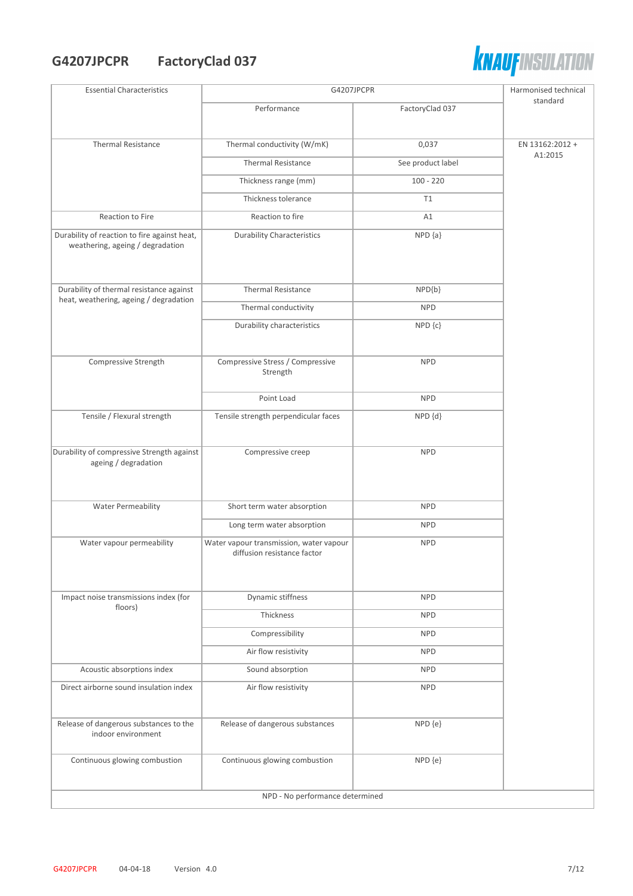## **G4207JPCPR FactoryClad 037**



| <b>Essential Characteristics</b>                                                 | G4207JPCPR                                                             |                   | Harmonised technical |  |
|----------------------------------------------------------------------------------|------------------------------------------------------------------------|-------------------|----------------------|--|
|                                                                                  | Performance                                                            | FactoryClad 037   | standard             |  |
|                                                                                  |                                                                        |                   |                      |  |
| <b>Thermal Resistance</b>                                                        | Thermal conductivity (W/mK)                                            | 0,037             | EN 13162:2012 +      |  |
|                                                                                  | <b>Thermal Resistance</b>                                              | See product label | A1:2015              |  |
|                                                                                  | Thickness range (mm)                                                   | $100 - 220$       |                      |  |
|                                                                                  | Thickness tolerance                                                    | T1                |                      |  |
| Reaction to Fire                                                                 | Reaction to fire                                                       | A1                |                      |  |
| Durability of reaction to fire against heat,<br>weathering, ageing / degradation | <b>Durability Characteristics</b>                                      | $NPD {a}$         |                      |  |
| Durability of thermal resistance against                                         | <b>Thermal Resistance</b>                                              | $NPD{b}$          |                      |  |
| heat, weathering, ageing / degradation                                           | Thermal conductivity                                                   | <b>NPD</b>        |                      |  |
|                                                                                  | Durability characteristics                                             | $NPD$ $\{c\}$     |                      |  |
|                                                                                  |                                                                        |                   |                      |  |
| Compressive Strength                                                             | Compressive Stress / Compressive<br>Strength                           | <b>NPD</b>        |                      |  |
|                                                                                  | Point Load                                                             | <b>NPD</b>        |                      |  |
| Tensile / Flexural strength                                                      | Tensile strength perpendicular faces                                   | NPD {d}           |                      |  |
| Durability of compressive Strength against<br>ageing / degradation               | Compressive creep                                                      | <b>NPD</b>        |                      |  |
| <b>Water Permeability</b>                                                        | Short term water absorption                                            | <b>NPD</b>        |                      |  |
|                                                                                  | Long term water absorption                                             | <b>NPD</b>        |                      |  |
| Water vapour permeability                                                        | Water vapour transmission, water vapour<br>diffusion resistance factor | <b>NPD</b>        |                      |  |
| Impact noise transmissions index (for                                            | Dynamic stiffness                                                      | <b>NPD</b>        |                      |  |
| floors)                                                                          | Thickness                                                              | <b>NPD</b>        |                      |  |
|                                                                                  | Compressibility                                                        | <b>NPD</b>        |                      |  |
|                                                                                  | Air flow resistivity                                                   | <b>NPD</b>        |                      |  |
| Acoustic absorptions index                                                       | Sound absorption                                                       | <b>NPD</b>        |                      |  |
| Direct airborne sound insulation index                                           | Air flow resistivity                                                   | <b>NPD</b>        |                      |  |
|                                                                                  |                                                                        |                   |                      |  |
| Release of dangerous substances to the<br>indoor environment                     | Release of dangerous substances                                        | NPD {e}           |                      |  |
| Continuous glowing combustion                                                    | Continuous glowing combustion                                          | NPD {e}           |                      |  |
|                                                                                  | NPD - No performance determined                                        |                   |                      |  |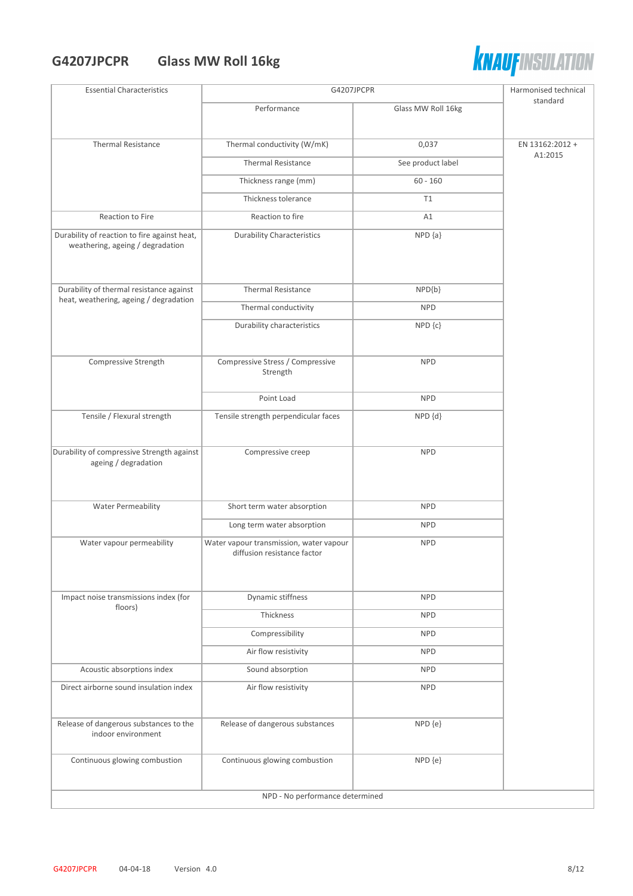# **G4207JPCPR Glass MW Roll 16kg**



| <b>Essential Characteristics</b>                                                 | G4207JPCPR                                                             |                    | Harmonised technical |  |
|----------------------------------------------------------------------------------|------------------------------------------------------------------------|--------------------|----------------------|--|
|                                                                                  | Performance                                                            | Glass MW Roll 16kg | standard             |  |
|                                                                                  |                                                                        |                    |                      |  |
| <b>Thermal Resistance</b>                                                        | Thermal conductivity (W/mK)                                            | 0,037              | EN 13162:2012 +      |  |
|                                                                                  | <b>Thermal Resistance</b>                                              | See product label  | A1:2015              |  |
|                                                                                  | Thickness range (mm)                                                   | $60 - 160$         |                      |  |
|                                                                                  | Thickness tolerance                                                    | T1                 |                      |  |
| Reaction to Fire                                                                 | Reaction to fire                                                       | A1                 |                      |  |
| Durability of reaction to fire against heat,<br>weathering, ageing / degradation | <b>Durability Characteristics</b>                                      | $NPD {a}$          |                      |  |
| Durability of thermal resistance against                                         | <b>Thermal Resistance</b>                                              | $NPD{b}$           |                      |  |
| heat, weathering, ageing / degradation                                           | Thermal conductivity                                                   | <b>NPD</b>         |                      |  |
|                                                                                  | Durability characteristics                                             | NPD {c}            |                      |  |
|                                                                                  |                                                                        |                    |                      |  |
| Compressive Strength                                                             | Compressive Stress / Compressive<br>Strength                           | <b>NPD</b>         |                      |  |
|                                                                                  | Point Load                                                             | <b>NPD</b>         |                      |  |
| Tensile / Flexural strength                                                      | Tensile strength perpendicular faces                                   | NPD {d}            |                      |  |
| Durability of compressive Strength against<br>ageing / degradation               | Compressive creep                                                      | <b>NPD</b>         |                      |  |
| <b>Water Permeability</b>                                                        | Short term water absorption                                            | <b>NPD</b>         |                      |  |
|                                                                                  | Long term water absorption                                             | <b>NPD</b>         |                      |  |
| Water vapour permeability                                                        | Water vapour transmission, water vapour<br>diffusion resistance factor | <b>NPD</b>         |                      |  |
| Impact noise transmissions index (for                                            | Dynamic stiffness                                                      | <b>NPD</b>         |                      |  |
| floors)                                                                          | Thickness                                                              | <b>NPD</b>         |                      |  |
|                                                                                  | Compressibility                                                        | <b>NPD</b>         |                      |  |
|                                                                                  | Air flow resistivity                                                   | <b>NPD</b>         |                      |  |
|                                                                                  | Sound absorption                                                       | <b>NPD</b>         |                      |  |
| Acoustic absorptions index                                                       |                                                                        |                    |                      |  |
| Direct airborne sound insulation index                                           | Air flow resistivity                                                   | <b>NPD</b>         |                      |  |
| Release of dangerous substances to the<br>indoor environment                     | Release of dangerous substances                                        | NPD {e}            |                      |  |
| Continuous glowing combustion                                                    | Continuous glowing combustion                                          | NPD {e}            |                      |  |
|                                                                                  | NPD - No performance determined                                        |                    |                      |  |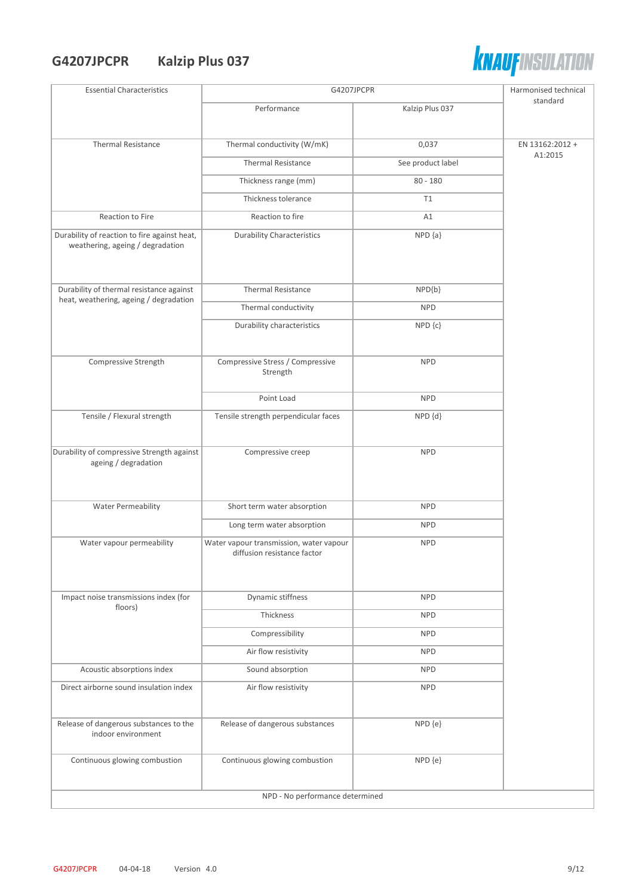## **G4207JPCPR Kalzip Plus 037**



| <b>Essential Characteristics</b>                                                 |                                                                        | G4207JPCPR                  |                            |  |
|----------------------------------------------------------------------------------|------------------------------------------------------------------------|-----------------------------|----------------------------|--|
|                                                                                  | Performance                                                            | Kalzip Plus 037             | standard                   |  |
|                                                                                  |                                                                        |                             |                            |  |
| <b>Thermal Resistance</b>                                                        | Thermal conductivity (W/mK)                                            | 0,037                       | EN 13162:2012 +<br>A1:2015 |  |
|                                                                                  | <b>Thermal Resistance</b>                                              | See product label           |                            |  |
|                                                                                  | Thickness range (mm)                                                   | $80 - 180$                  |                            |  |
|                                                                                  | Thickness tolerance                                                    | T1                          |                            |  |
| Reaction to Fire                                                                 | Reaction to fire                                                       | A1                          |                            |  |
| Durability of reaction to fire against heat,<br>weathering, ageing / degradation | <b>Durability Characteristics</b>                                      | $\overline{\text{NPD}}$ {a} |                            |  |
| Durability of thermal resistance against                                         | <b>Thermal Resistance</b>                                              | $NPD{b}$                    |                            |  |
| heat, weathering, ageing / degradation                                           | Thermal conductivity                                                   | <b>NPD</b>                  |                            |  |
|                                                                                  | Durability characteristics                                             | NPD {c}                     |                            |  |
|                                                                                  |                                                                        |                             |                            |  |
| Compressive Strength                                                             | Compressive Stress / Compressive<br>Strength                           | <b>NPD</b>                  |                            |  |
|                                                                                  | Point Load                                                             | <b>NPD</b>                  |                            |  |
| Tensile / Flexural strength                                                      | Tensile strength perpendicular faces                                   | NPD {d}                     |                            |  |
| Durability of compressive Strength against                                       | Compressive creep                                                      | <b>NPD</b>                  |                            |  |
| ageing / degradation                                                             |                                                                        |                             |                            |  |
| <b>Water Permeability</b>                                                        | Short term water absorption                                            | <b>NPD</b>                  |                            |  |
|                                                                                  | Long term water absorption                                             | <b>NPD</b>                  |                            |  |
| Water vapour permeability                                                        | Water vapour transmission, water vapour<br>diffusion resistance factor | <b>NPD</b>                  |                            |  |
| Impact noise transmissions index (for                                            | Dynamic stiffness                                                      | <b>NPD</b>                  |                            |  |
| floors)                                                                          | Thickness                                                              | <b>NPD</b>                  |                            |  |
|                                                                                  | Compressibility                                                        | <b>NPD</b>                  |                            |  |
|                                                                                  | Air flow resistivity                                                   | <b>NPD</b>                  |                            |  |
| Acoustic absorptions index                                                       | Sound absorption                                                       | <b>NPD</b>                  |                            |  |
| Direct airborne sound insulation index                                           | Air flow resistivity                                                   | <b>NPD</b>                  |                            |  |
| Release of dangerous substances to the<br>indoor environment                     | Release of dangerous substances                                        | NPD {e}                     |                            |  |
| Continuous glowing combustion                                                    | Continuous glowing combustion                                          | NPD {e}                     |                            |  |
|                                                                                  | NPD - No performance determined                                        |                             |                            |  |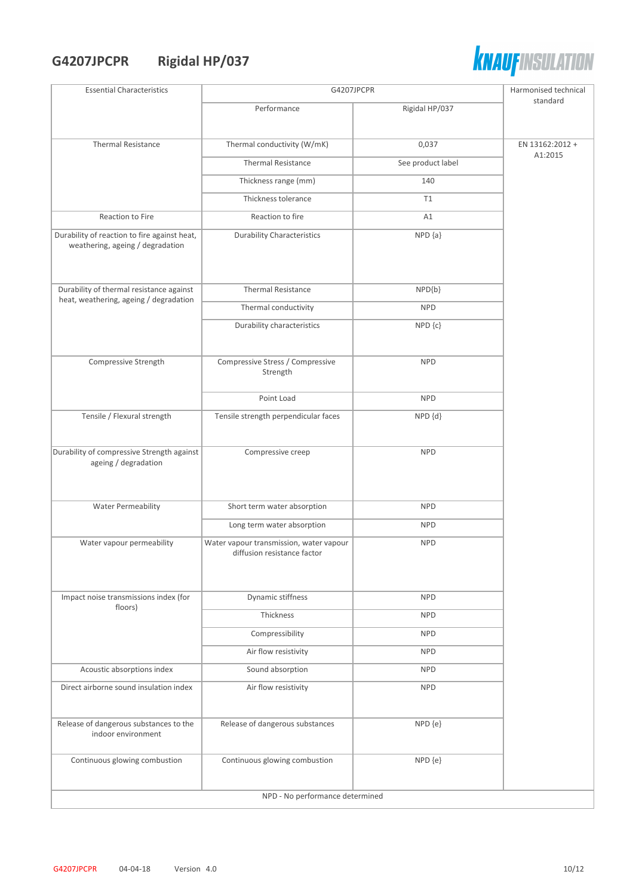# **G4207JPCPR Rigidal HP/037**



| standard<br>Rigidal HP/037<br>Performance<br>Thermal conductivity (W/mK)<br>0,037<br><b>Thermal Resistance</b><br>EN 13162:2012 +<br>A1:2015<br><b>Thermal Resistance</b><br>See product label<br>Thickness range (mm)<br>140<br>Thickness tolerance<br>T1<br>Reaction to Fire<br>Reaction to fire<br>A1<br>$NPD {a}$<br>Durability of reaction to fire against heat,<br><b>Durability Characteristics</b><br>weathering, ageing / degradation<br>Durability of thermal resistance against<br><b>Thermal Resistance</b><br>$NPD{b}$<br>heat, weathering, ageing / degradation<br>Thermal conductivity<br><b>NPD</b><br>Durability characteristics<br>NPD {c}<br>Compressive Stress / Compressive<br>Compressive Strength<br><b>NPD</b><br>Strength<br>Point Load<br><b>NPD</b><br>Tensile / Flexural strength<br>Tensile strength perpendicular faces<br>NPD {d}<br>Durability of compressive Strength against<br>Compressive creep<br><b>NPD</b><br>ageing / degradation<br><b>Water Permeability</b><br>Short term water absorption<br><b>NPD</b><br>Long term water absorption<br><b>NPD</b><br>Water vapour transmission, water vapour<br>Water vapour permeability<br><b>NPD</b><br>diffusion resistance factor<br>Dynamic stiffness<br>Impact noise transmissions index (for<br><b>NPD</b><br>floors)<br>Thickness<br><b>NPD</b><br>Compressibility<br><b>NPD</b><br>Air flow resistivity<br><b>NPD</b><br>Acoustic absorptions index<br>Sound absorption<br><b>NPD</b><br>Direct airborne sound insulation index<br>Air flow resistivity<br><b>NPD</b><br>Release of dangerous substances to the<br>Release of dangerous substances<br>NPD {e}<br>indoor environment<br>Continuous glowing combustion<br>Continuous glowing combustion<br>NPD {e}<br>NPD - No performance determined | <b>Essential Characteristics</b> | G4207JPCPR |  |
|---------------------------------------------------------------------------------------------------------------------------------------------------------------------------------------------------------------------------------------------------------------------------------------------------------------------------------------------------------------------------------------------------------------------------------------------------------------------------------------------------------------------------------------------------------------------------------------------------------------------------------------------------------------------------------------------------------------------------------------------------------------------------------------------------------------------------------------------------------------------------------------------------------------------------------------------------------------------------------------------------------------------------------------------------------------------------------------------------------------------------------------------------------------------------------------------------------------------------------------------------------------------------------------------------------------------------------------------------------------------------------------------------------------------------------------------------------------------------------------------------------------------------------------------------------------------------------------------------------------------------------------------------------------------------------------------------------------------------------------------------------------------------------------------|----------------------------------|------------|--|
|                                                                                                                                                                                                                                                                                                                                                                                                                                                                                                                                                                                                                                                                                                                                                                                                                                                                                                                                                                                                                                                                                                                                                                                                                                                                                                                                                                                                                                                                                                                                                                                                                                                                                                                                                                                             |                                  |            |  |
|                                                                                                                                                                                                                                                                                                                                                                                                                                                                                                                                                                                                                                                                                                                                                                                                                                                                                                                                                                                                                                                                                                                                                                                                                                                                                                                                                                                                                                                                                                                                                                                                                                                                                                                                                                                             |                                  |            |  |
|                                                                                                                                                                                                                                                                                                                                                                                                                                                                                                                                                                                                                                                                                                                                                                                                                                                                                                                                                                                                                                                                                                                                                                                                                                                                                                                                                                                                                                                                                                                                                                                                                                                                                                                                                                                             |                                  |            |  |
|                                                                                                                                                                                                                                                                                                                                                                                                                                                                                                                                                                                                                                                                                                                                                                                                                                                                                                                                                                                                                                                                                                                                                                                                                                                                                                                                                                                                                                                                                                                                                                                                                                                                                                                                                                                             |                                  |            |  |
|                                                                                                                                                                                                                                                                                                                                                                                                                                                                                                                                                                                                                                                                                                                                                                                                                                                                                                                                                                                                                                                                                                                                                                                                                                                                                                                                                                                                                                                                                                                                                                                                                                                                                                                                                                                             |                                  |            |  |
|                                                                                                                                                                                                                                                                                                                                                                                                                                                                                                                                                                                                                                                                                                                                                                                                                                                                                                                                                                                                                                                                                                                                                                                                                                                                                                                                                                                                                                                                                                                                                                                                                                                                                                                                                                                             |                                  |            |  |
|                                                                                                                                                                                                                                                                                                                                                                                                                                                                                                                                                                                                                                                                                                                                                                                                                                                                                                                                                                                                                                                                                                                                                                                                                                                                                                                                                                                                                                                                                                                                                                                                                                                                                                                                                                                             |                                  |            |  |
|                                                                                                                                                                                                                                                                                                                                                                                                                                                                                                                                                                                                                                                                                                                                                                                                                                                                                                                                                                                                                                                                                                                                                                                                                                                                                                                                                                                                                                                                                                                                                                                                                                                                                                                                                                                             |                                  |            |  |
|                                                                                                                                                                                                                                                                                                                                                                                                                                                                                                                                                                                                                                                                                                                                                                                                                                                                                                                                                                                                                                                                                                                                                                                                                                                                                                                                                                                                                                                                                                                                                                                                                                                                                                                                                                                             |                                  |            |  |
|                                                                                                                                                                                                                                                                                                                                                                                                                                                                                                                                                                                                                                                                                                                                                                                                                                                                                                                                                                                                                                                                                                                                                                                                                                                                                                                                                                                                                                                                                                                                                                                                                                                                                                                                                                                             |                                  |            |  |
|                                                                                                                                                                                                                                                                                                                                                                                                                                                                                                                                                                                                                                                                                                                                                                                                                                                                                                                                                                                                                                                                                                                                                                                                                                                                                                                                                                                                                                                                                                                                                                                                                                                                                                                                                                                             |                                  |            |  |
|                                                                                                                                                                                                                                                                                                                                                                                                                                                                                                                                                                                                                                                                                                                                                                                                                                                                                                                                                                                                                                                                                                                                                                                                                                                                                                                                                                                                                                                                                                                                                                                                                                                                                                                                                                                             |                                  |            |  |
|                                                                                                                                                                                                                                                                                                                                                                                                                                                                                                                                                                                                                                                                                                                                                                                                                                                                                                                                                                                                                                                                                                                                                                                                                                                                                                                                                                                                                                                                                                                                                                                                                                                                                                                                                                                             |                                  |            |  |
|                                                                                                                                                                                                                                                                                                                                                                                                                                                                                                                                                                                                                                                                                                                                                                                                                                                                                                                                                                                                                                                                                                                                                                                                                                                                                                                                                                                                                                                                                                                                                                                                                                                                                                                                                                                             |                                  |            |  |
|                                                                                                                                                                                                                                                                                                                                                                                                                                                                                                                                                                                                                                                                                                                                                                                                                                                                                                                                                                                                                                                                                                                                                                                                                                                                                                                                                                                                                                                                                                                                                                                                                                                                                                                                                                                             |                                  |            |  |
|                                                                                                                                                                                                                                                                                                                                                                                                                                                                                                                                                                                                                                                                                                                                                                                                                                                                                                                                                                                                                                                                                                                                                                                                                                                                                                                                                                                                                                                                                                                                                                                                                                                                                                                                                                                             |                                  |            |  |
|                                                                                                                                                                                                                                                                                                                                                                                                                                                                                                                                                                                                                                                                                                                                                                                                                                                                                                                                                                                                                                                                                                                                                                                                                                                                                                                                                                                                                                                                                                                                                                                                                                                                                                                                                                                             |                                  |            |  |
|                                                                                                                                                                                                                                                                                                                                                                                                                                                                                                                                                                                                                                                                                                                                                                                                                                                                                                                                                                                                                                                                                                                                                                                                                                                                                                                                                                                                                                                                                                                                                                                                                                                                                                                                                                                             |                                  |            |  |
|                                                                                                                                                                                                                                                                                                                                                                                                                                                                                                                                                                                                                                                                                                                                                                                                                                                                                                                                                                                                                                                                                                                                                                                                                                                                                                                                                                                                                                                                                                                                                                                                                                                                                                                                                                                             |                                  |            |  |
|                                                                                                                                                                                                                                                                                                                                                                                                                                                                                                                                                                                                                                                                                                                                                                                                                                                                                                                                                                                                                                                                                                                                                                                                                                                                                                                                                                                                                                                                                                                                                                                                                                                                                                                                                                                             |                                  |            |  |
|                                                                                                                                                                                                                                                                                                                                                                                                                                                                                                                                                                                                                                                                                                                                                                                                                                                                                                                                                                                                                                                                                                                                                                                                                                                                                                                                                                                                                                                                                                                                                                                                                                                                                                                                                                                             |                                  |            |  |
|                                                                                                                                                                                                                                                                                                                                                                                                                                                                                                                                                                                                                                                                                                                                                                                                                                                                                                                                                                                                                                                                                                                                                                                                                                                                                                                                                                                                                                                                                                                                                                                                                                                                                                                                                                                             |                                  |            |  |
|                                                                                                                                                                                                                                                                                                                                                                                                                                                                                                                                                                                                                                                                                                                                                                                                                                                                                                                                                                                                                                                                                                                                                                                                                                                                                                                                                                                                                                                                                                                                                                                                                                                                                                                                                                                             |                                  |            |  |
|                                                                                                                                                                                                                                                                                                                                                                                                                                                                                                                                                                                                                                                                                                                                                                                                                                                                                                                                                                                                                                                                                                                                                                                                                                                                                                                                                                                                                                                                                                                                                                                                                                                                                                                                                                                             |                                  |            |  |
|                                                                                                                                                                                                                                                                                                                                                                                                                                                                                                                                                                                                                                                                                                                                                                                                                                                                                                                                                                                                                                                                                                                                                                                                                                                                                                                                                                                                                                                                                                                                                                                                                                                                                                                                                                                             |                                  |            |  |
|                                                                                                                                                                                                                                                                                                                                                                                                                                                                                                                                                                                                                                                                                                                                                                                                                                                                                                                                                                                                                                                                                                                                                                                                                                                                                                                                                                                                                                                                                                                                                                                                                                                                                                                                                                                             |                                  |            |  |
|                                                                                                                                                                                                                                                                                                                                                                                                                                                                                                                                                                                                                                                                                                                                                                                                                                                                                                                                                                                                                                                                                                                                                                                                                                                                                                                                                                                                                                                                                                                                                                                                                                                                                                                                                                                             |                                  |            |  |
|                                                                                                                                                                                                                                                                                                                                                                                                                                                                                                                                                                                                                                                                                                                                                                                                                                                                                                                                                                                                                                                                                                                                                                                                                                                                                                                                                                                                                                                                                                                                                                                                                                                                                                                                                                                             |                                  |            |  |
|                                                                                                                                                                                                                                                                                                                                                                                                                                                                                                                                                                                                                                                                                                                                                                                                                                                                                                                                                                                                                                                                                                                                                                                                                                                                                                                                                                                                                                                                                                                                                                                                                                                                                                                                                                                             |                                  |            |  |
|                                                                                                                                                                                                                                                                                                                                                                                                                                                                                                                                                                                                                                                                                                                                                                                                                                                                                                                                                                                                                                                                                                                                                                                                                                                                                                                                                                                                                                                                                                                                                                                                                                                                                                                                                                                             |                                  |            |  |
|                                                                                                                                                                                                                                                                                                                                                                                                                                                                                                                                                                                                                                                                                                                                                                                                                                                                                                                                                                                                                                                                                                                                                                                                                                                                                                                                                                                                                                                                                                                                                                                                                                                                                                                                                                                             |                                  |            |  |
|                                                                                                                                                                                                                                                                                                                                                                                                                                                                                                                                                                                                                                                                                                                                                                                                                                                                                                                                                                                                                                                                                                                                                                                                                                                                                                                                                                                                                                                                                                                                                                                                                                                                                                                                                                                             |                                  |            |  |
|                                                                                                                                                                                                                                                                                                                                                                                                                                                                                                                                                                                                                                                                                                                                                                                                                                                                                                                                                                                                                                                                                                                                                                                                                                                                                                                                                                                                                                                                                                                                                                                                                                                                                                                                                                                             |                                  |            |  |
|                                                                                                                                                                                                                                                                                                                                                                                                                                                                                                                                                                                                                                                                                                                                                                                                                                                                                                                                                                                                                                                                                                                                                                                                                                                                                                                                                                                                                                                                                                                                                                                                                                                                                                                                                                                             |                                  |            |  |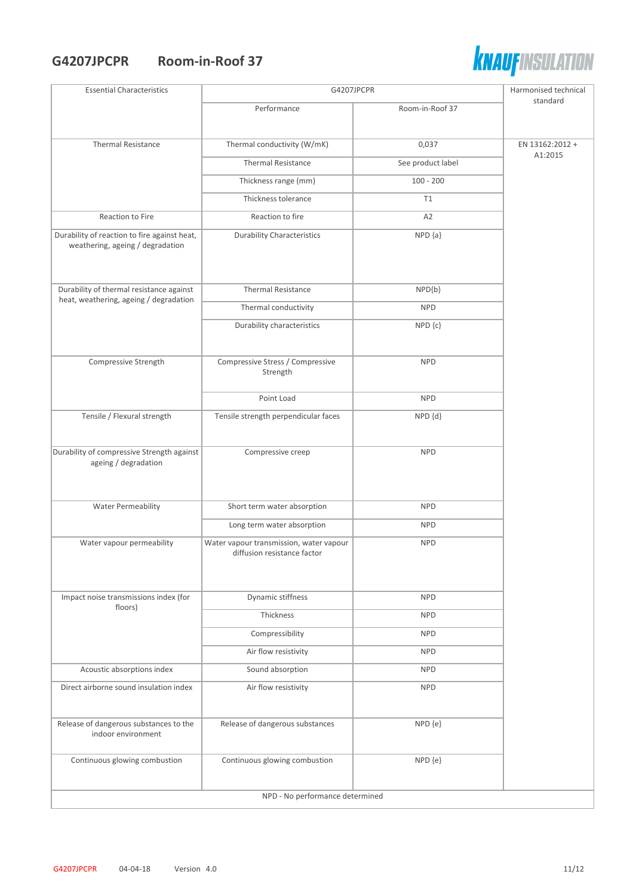#### **G4207JPCPR Room-in-Roof 37**



| <b>Essential Characteristics</b>                                                 | G4207JPCPR                                                             |                   | Harmonised technical       |  |
|----------------------------------------------------------------------------------|------------------------------------------------------------------------|-------------------|----------------------------|--|
|                                                                                  | Performance                                                            | Room-in-Roof 37   | standard                   |  |
|                                                                                  |                                                                        |                   |                            |  |
| <b>Thermal Resistance</b>                                                        | Thermal conductivity (W/mK)                                            | 0,037             | EN 13162:2012 +<br>A1:2015 |  |
|                                                                                  | <b>Thermal Resistance</b>                                              | See product label |                            |  |
|                                                                                  | Thickness range (mm)                                                   | $100 - 200$       |                            |  |
|                                                                                  | Thickness tolerance                                                    | T1                |                            |  |
| Reaction to Fire                                                                 | Reaction to fire                                                       | A <sub>2</sub>    |                            |  |
| Durability of reaction to fire against heat,<br>weathering, ageing / degradation | <b>Durability Characteristics</b>                                      | $NPD {a}$         |                            |  |
| Durability of thermal resistance against                                         | <b>Thermal Resistance</b>                                              | NPD{b}            |                            |  |
| heat, weathering, ageing / degradation                                           | Thermal conductivity                                                   | <b>NPD</b>        |                            |  |
|                                                                                  | Durability characteristics                                             | NPD {c}           |                            |  |
|                                                                                  |                                                                        |                   |                            |  |
| Compressive Strength                                                             | Compressive Stress / Compressive<br>Strength                           | <b>NPD</b>        |                            |  |
|                                                                                  | Point Load                                                             | <b>NPD</b>        |                            |  |
| Tensile / Flexural strength                                                      | Tensile strength perpendicular faces                                   | NPD {d}           |                            |  |
|                                                                                  |                                                                        |                   |                            |  |
| Durability of compressive Strength against<br>ageing / degradation               | Compressive creep                                                      | <b>NPD</b>        |                            |  |
|                                                                                  |                                                                        |                   |                            |  |
|                                                                                  | Short term water absorption                                            | <b>NPD</b>        |                            |  |
| Water Permeability                                                               |                                                                        |                   |                            |  |
|                                                                                  | Long term water absorption                                             | <b>NPD</b>        |                            |  |
| Water vapour permeability                                                        | Water vapour transmission, water vapour<br>diffusion resistance factor | <b>NPD</b>        |                            |  |
|                                                                                  |                                                                        |                   |                            |  |
|                                                                                  |                                                                        |                   |                            |  |
| Impact noise transmissions index (for<br>floors)                                 | Dynamic stiffness                                                      | <b>NPD</b>        |                            |  |
|                                                                                  | Thickness                                                              | <b>NPD</b>        |                            |  |
|                                                                                  | Compressibility                                                        | <b>NPD</b>        |                            |  |
|                                                                                  | Air flow resistivity                                                   | <b>NPD</b>        |                            |  |
| Acoustic absorptions index                                                       | Sound absorption                                                       | <b>NPD</b>        |                            |  |
| Direct airborne sound insulation index                                           | Air flow resistivity                                                   | <b>NPD</b>        |                            |  |
| Release of dangerous substances to the<br>indoor environment                     | Release of dangerous substances                                        | NPD {e}           |                            |  |
|                                                                                  |                                                                        |                   |                            |  |
| Continuous glowing combustion                                                    | Continuous glowing combustion                                          | NPD {e}           |                            |  |
|                                                                                  | NPD - No performance determined                                        |                   |                            |  |